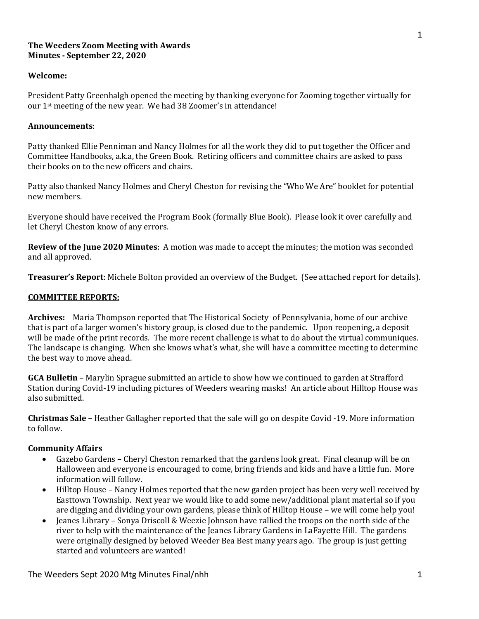### **The Weeders Zoom Meeting with Awards Minutes - September 22, 2020**

### **Welcome:**

President Patty Greenhalgh opened the meeting by thanking everyone for Zooming together virtually for our  $1$ <sup>st</sup> meeting of the new year. We had 38 Zoomer's in attendance!

#### **Announcements**:

Patty thanked Ellie Penniman and Nancy Holmes for all the work they did to put together the Officer and Committee Handbooks, a.k.a, the Green Book. Retiring officers and committee chairs are asked to pass their books on to the new officers and chairs.

Patty also thanked Nancy Holmes and Cheryl Cheston for revising the "Who We Are" booklet for potential new members. 

Everyone should have received the Program Book (formally Blue Book). Please look it over carefully and let Cheryl Cheston know of any errors.

**Review of the June 2020 Minutes:** A motion was made to accept the minutes; the motion was seconded and all approved.

**Treasurer's Report**: Michele Bolton provided an overview of the Budget. (See attached report for details).

### **COMMITTEE REPORTS:**

Archives: Maria Thompson reported that The Historical Society of Pennsylvania, home of our archive that is part of a larger women's history group, is closed due to the pandemic. Upon reopening, a deposit will be made of the print records. The more recent challenge is what to do about the virtual communiques. The landscape is changing. When she knows what's what, she will have a committee meeting to determine the best way to move ahead.

**GCA Bulletin** - Marylin Sprague submitted an article to show how we continued to garden at Strafford Station during Covid-19 including pictures of Weeders wearing masks! An article about Hilltop House was also submitted.

**Christmas Sale** – Heather Gallagher reported that the sale will go on despite Covid -19. More information to follow.

### **Community Affairs**

- Gazebo Gardens Cheryl Cheston remarked that the gardens look great. Final cleanup will be on Halloween and everyone is encouraged to come, bring friends and kids and have a little fun. More information will follow.
- Hilltop House Nancy Holmes reported that the new garden project has been very well received by Easttown Township. Next year we would like to add some new/additional plant material so if you are digging and dividing your own gardens, please think of Hilltop House - we will come help you!
- Jeanes Library Sonya Driscoll & Weezie Johnson have rallied the troops on the north side of the river to help with the maintenance of the Jeanes Library Gardens in LaFayette Hill. The gardens were originally designed by beloved Weeder Bea Best many years ago. The group is just getting started and volunteers are wanted!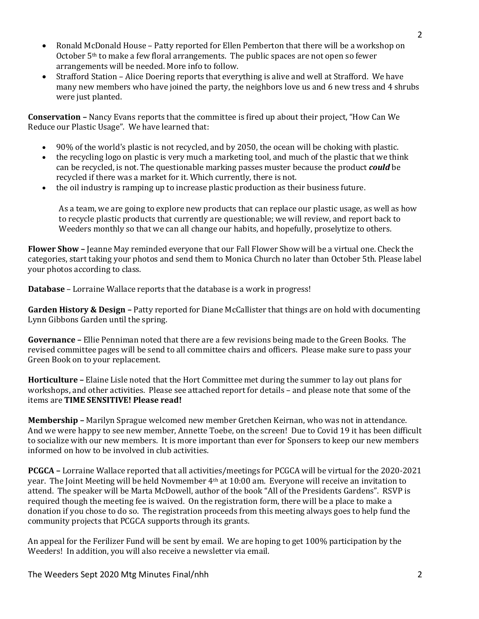- Ronald McDonald House Patty reported for Ellen Pemberton that there will be a workshop on October  $5<sup>th</sup>$  to make a few floral arrangements. The public spaces are not open so fewer arrangements will be needed. More info to follow.
- Strafford Station Alice Doering reports that everything is alive and well at Strafford. We have many new members who have joined the party, the neighbors love us and 6 new tress and 4 shrubs were just planted.

**Conservation** – Nancy Evans reports that the committee is fired up about their project, "How Can We Reduce our Plastic Usage". We have learned that:

- $90\%$  of the world's plastic is not recycled, and by 2050, the ocean will be choking with plastic.
- the recycling logo on plastic is very much a marketing tool, and much of the plastic that we think can be recycled, is not. The questionable marking passes muster because the product *could* be recycled if there was a market for it. Which currently, there is not.
- the oil industry is ramping up to increase plastic production as their business future.

As a team, we are going to explore new products that can replace our plastic usage, as well as how to recycle plastic products that currently are questionable; we will review, and report back to Weeders monthly so that we can all change our habits, and hopefully, proselytize to others.

**Flower Show** – Jeanne May reminded everyone that our Fall Flower Show will be a virtual one. Check the categories, start taking your photos and send them to Monica Church no later than October 5th. Please label your photos according to class.

**Database** – Lorraine Wallace reports that the database is a work in progress!

**Garden History & Design -** Patty reported for Diane McCallister that things are on hold with documenting Lynn Gibbons Garden until the spring.

**Governance** – Ellie Penniman noted that there are a few revisions being made to the Green Books. The revised committee pages will be send to all committee chairs and officers. Please make sure to pass your Green Book on to your replacement.

**Horticulture** – Elaine Lisle noted that the Hort Committee met during the summer to lay out plans for workshops, and other activities. Please see attached report for details – and please note that some of the items are **TIME SENSITIVE!** Please read!

**Membership** – Marilyn Sprague welcomed new member Gretchen Keirnan, who was not in attendance. And we were happy to see new member, Annette Toebe, on the screen! Due to Covid 19 it has been difficult to socialize with our new members. It is more important than ever for Sponsers to keep our new members informed on how to be involved in club activities.

**PCGCA** - Lorraine Wallace reported that all activities/meetings for PCGCA will be virtual for the 2020-2021 year. The Joint Meeting will be held Novmember  $4<sup>th</sup>$  at 10:00 am. Everyone will receive an invitation to attend. The speaker will be Marta McDowell, author of the book "All of the Presidents Gardens". RSVP is required though the meeting fee is waived. On the registration form, there will be a place to make a donation if you chose to do so. The registration proceeds from this meeting always goes to help fund the community projects that PCGCA supports through its grants.

An appeal for the Ferilizer Fund will be sent by email. We are hoping to get 100% participation by the Weeders! In addition, you will also receive a newsletter via email.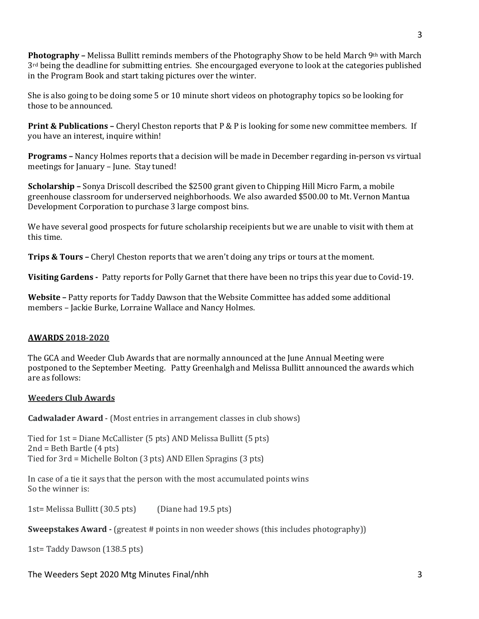**Photography** – Melissa Bullitt reminds members of the Photography Show to be held March 9<sup>th</sup> with March  $3<sup>rd</sup>$  being the deadline for submitting entries. She encourgaged everyone to look at the categories published in the Program Book and start taking pictures over the winter.

She is also going to be doing some  $5$  or 10 minute short videos on photography topics so be looking for those to be announced.

**Print & Publications** – Cheryl Cheston reports that P & P is looking for some new committee members. If you have an interest, inquire within!

**Programs** – Nancy Holmes reports that a decision will be made in December regarding in-person vs virtual meetings for January – June. Stay tuned!

**Scholarship** – Sonya Driscoll described the \$2500 grant given to Chipping Hill Micro Farm, a mobile greenhouse classroom for underserved neighborhoods. We also awarded \$500.00 to Mt. Vernon Mantua Development Corporation to purchase 3 large compost bins.

We have several good prospects for future scholarship receipients but we are unable to visit with them at this time.

**Trips & Tours –** Cheryl Cheston reports that we aren't doing any trips or tours at the moment.

**Visiting Gardens** - Patty reports for Polly Garnet that there have been no trips this year due to Covid-19.

**Website** – Patty reports for Taddy Dawson that the Website Committee has added some additional members - Jackie Burke, Lorraine Wallace and Nancy Holmes.

## **AWARDS 2018-2020**

The GCA and Weeder Club Awards that are normally announced at the June Annual Meeting were postponed to the September Meeting. Patty Greenhalgh and Melissa Bullitt announced the awards which are as follows:

### **Weeders Club Awards**

**Cadwalader Award** - (Most entries in arrangement classes in club shows)

Tied for  $1st =$  Diane McCallister  $(5 \text{ pts})$  AND Melissa Bullitt  $(5 \text{ pts})$  $2nd = Beth$  Bartle  $(4$  pts) Tied for  $3rd$  = Michelle Bolton  $(3 \text{ pts})$  AND Ellen Spragins  $(3 \text{ pts})$ 

In case of a tie it says that the person with the most accumulated points wins So the winner is:

 $1st=$  Melissa Bullitt  $(30.5 \text{ pts})$  (Diane had  $19.5 \text{ pts}$ )

**Sweepstakes Award -** (greatest # points in non weeder shows (this includes photography))

1st= Taddy Dawson (138.5 pts)

## The Weeders Sept 2020 Mtg Minutes Final/nhh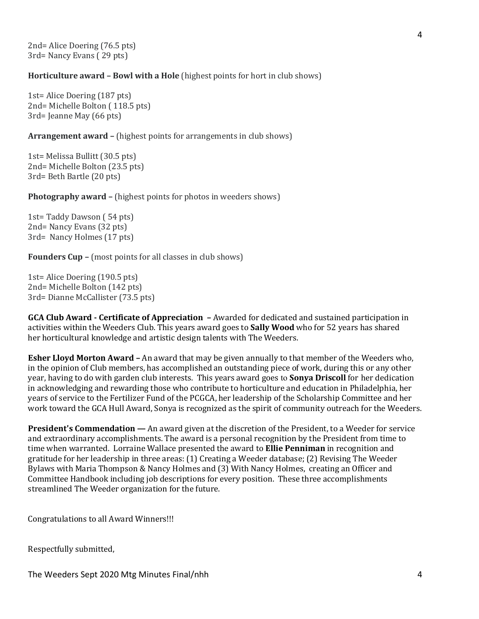2nd= Alice Doering (76.5 pts) 3rd= Nancy Evans (29 pts)

**Horticulture award - Bowl with a Hole** (highest points for hort in club shows)

1st= Alice Doering (187 pts) 2nd= Michelle Bolton (118.5 pts) 3rd= Jeanne May (66 pts)

**Arrangement award –** (highest points for arrangements in club shows)

1st= Melissa Bullitt (30.5 pts) 2nd= Michelle Bolton (23.5 pts) 3rd= Beth Bartle (20 pts)

**Photography award –** (highest points for photos in weeders shows)

1st= Taddy Dawson (54 pts) 2nd= Nancy Evans (32 pts) 3rd= Nancy Holmes (17 pts)

**Founders Cup –** (most points for all classes in club shows)

1st= Alice Doering (190.5 pts) 2nd= Michelle Bolton (142 pts) 3rd= Dianne McCallister (73.5 pts)

**GCA Club Award - Certificate of Appreciation - Awarded for dedicated and sustained participation in** activities within the Weeders Club. This years award goes to **Sally Wood** who for 52 years has shared her horticultural knowledge and artistic design talents with The Weeders.

**Esher Lloyd Morton Award** – An award that may be given annually to that member of the Weeders who, in the opinion of Club members, has accomplished an outstanding piece of work, during this or any other year, having to do with garden club interests. This years award goes to **Sonya Driscoll** for her dedication in acknowledging and rewarding those who contribute to horticulture and education in Philadelphia, her years of service to the Fertilizer Fund of the PCGCA, her leadership of the Scholarship Committee and her work toward the GCA Hull Award, Sonya is recognized as the spirit of community outreach for the Weeders.

**President's Commendation — An award given at the discretion of the President, to a Weeder for service** and extraordinary accomplishments. The award is a personal recognition by the President from time to time when warranted. Lorraine Wallace presented the award to **Ellie Penniman** in recognition and gratitude for her leadership in three areas:  $(1)$  Creating a Weeder database;  $(2)$  Revising The Weeder Bylaws with Maria Thompson & Nancy Holmes and (3) With Nancy Holmes, creating an Officer and Committee Handbook including job descriptions for every position. These three accomplishments streamlined The Weeder organization for the future.

Congratulations to all Award Winners!!!

Respectfully submitted,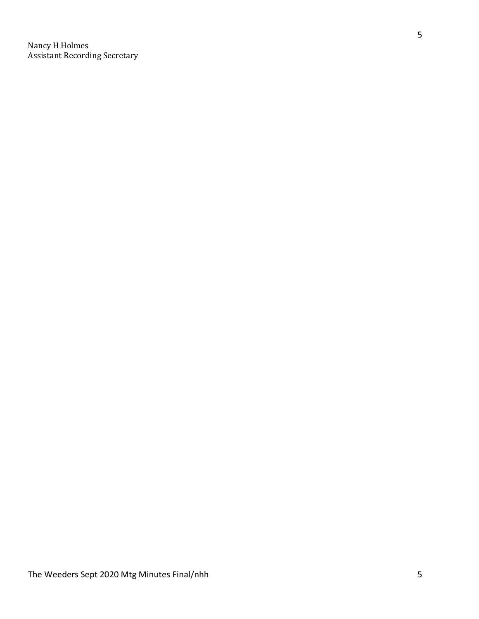Nancy H Holmes Assistant Recording Secretary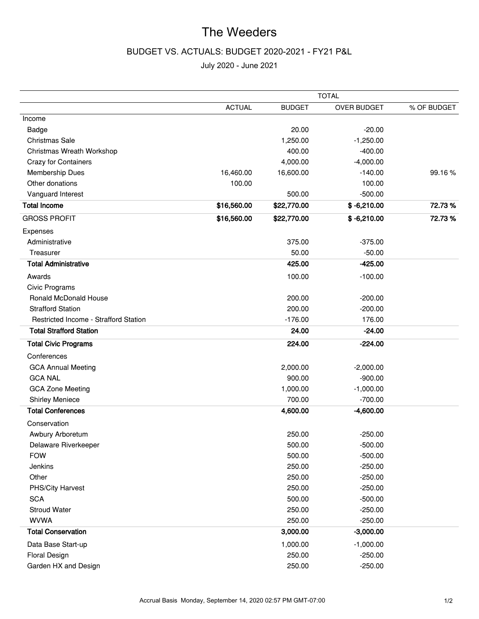# BUDGET VS. ACTUALS: BUDGET 2020-2021 - FY21 P&L

|                                              |               |               | <b>TOTAL</b>       |             |
|----------------------------------------------|---------------|---------------|--------------------|-------------|
|                                              | <b>ACTUAL</b> | <b>BUDGET</b> | <b>OVER BUDGET</b> | % OF BUDGET |
| Income                                       |               |               |                    |             |
| Badge                                        |               | 20.00         | $-20.00$           |             |
| Christmas Sale                               |               | 1,250.00      | $-1,250.00$        |             |
| Christmas Wreath Workshop                    |               | 400.00        | $-400.00$          |             |
| <b>Crazy for Containers</b>                  |               | 4,000.00      | $-4,000.00$        |             |
| <b>Membership Dues</b>                       | 16,460.00     | 16,600.00     | $-140.00$          | 99.16%      |
| Other donations                              | 100.00        |               | 100.00             |             |
| Vanguard Interest                            |               | 500.00        | $-500.00$          |             |
| <b>Total Income</b>                          | \$16,560.00   | \$22,770.00   | $$ -6,210.00$      | 72.73%      |
| <b>GROSS PROFIT</b>                          | \$16,560.00   | \$22,770.00   | $$ -6,210.00$      | 72.73%      |
| Expenses                                     |               |               |                    |             |
| Administrative                               |               | 375.00        | $-375.00$          |             |
| Treasurer                                    |               | 50.00         | $-50.00$           |             |
| <b>Total Administrative</b>                  |               | 425.00        | $-425.00$          |             |
| Awards                                       |               | 100.00        | $-100.00$          |             |
| Civic Programs                               |               |               |                    |             |
| <b>Ronald McDonald House</b>                 |               | 200.00        | $-200.00$          |             |
| <b>Strafford Station</b>                     |               | 200.00        | $-200.00$          |             |
| <b>Restricted Income - Strafford Station</b> |               | $-176.00$     | 176.00             |             |
| <b>Total Strafford Station</b>               |               | 24.00         | $-24.00$           |             |
| <b>Total Civic Programs</b>                  |               | 224.00        | $-224.00$          |             |
| Conferences                                  |               |               |                    |             |
| <b>GCA Annual Meeting</b>                    |               | 2,000.00      | $-2,000.00$        |             |
| <b>GCA NAL</b>                               |               | 900.00        | $-900.00$          |             |
| <b>GCA Zone Meeting</b>                      |               | 1,000.00      | $-1,000.00$        |             |
| <b>Shirley Meniece</b>                       |               | 700.00        | $-700.00$          |             |
| <b>Total Conferences</b>                     |               | 4,600.00      | $-4,600.00$        |             |
| Conservation                                 |               |               |                    |             |
| Awbury Arboretum                             |               | 250.00        | $-250.00$          |             |
| Delaware Riverkeeper                         |               | 500.00        | $-500.00$          |             |
| <b>FOW</b>                                   |               | 500.00        | $-500.00$          |             |
| Jenkins                                      |               | 250.00        | $-250.00$          |             |
| Other                                        |               | 250.00        | $-250.00$          |             |
| PHS/City Harvest                             |               | 250.00        | $-250.00$          |             |
| <b>SCA</b>                                   |               | 500.00        | $-500.00$          |             |
| <b>Stroud Water</b>                          |               | 250.00        | $-250.00$          |             |
| <b>WVWA</b>                                  |               | 250.00        | $-250.00$          |             |
| <b>Total Conservation</b>                    |               | 3,000.00      | $-3,000.00$        |             |
| Data Base Start-up                           |               | 1,000.00      | $-1,000.00$        |             |
| <b>Floral Design</b>                         |               | 250.00        | $-250.00$          |             |
| Garden HX and Design                         |               | 250.00        | $-250.00$          |             |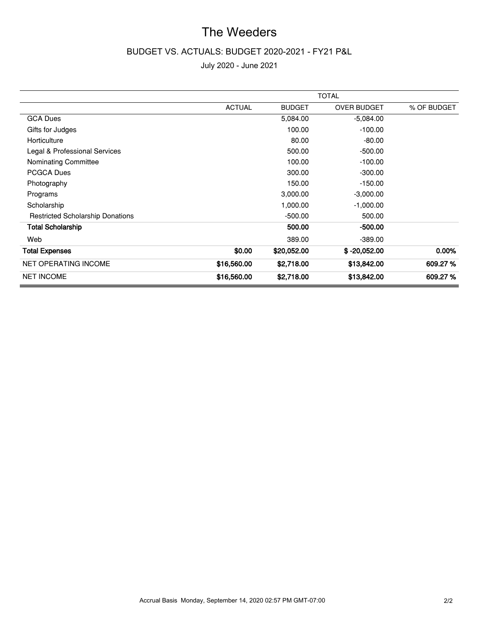## BUDGET VS. ACTUALS: BUDGET 2020-2021 - FY21 P&L

|                                         | <b>TOTAL</b>  |               |                    |             |
|-----------------------------------------|---------------|---------------|--------------------|-------------|
|                                         | <b>ACTUAL</b> | <b>BUDGET</b> | <b>OVER BUDGET</b> | % OF BUDGET |
| <b>GCA Dues</b>                         |               | 5,084.00      | $-5,084.00$        |             |
| Gifts for Judges                        |               | 100.00        | $-100.00$          |             |
| Horticulture                            |               | 80.00         | $-80.00$           |             |
| Legal & Professional Services           |               | 500.00        | $-500.00$          |             |
| Nominating Committee                    |               | 100.00        | $-100.00$          |             |
| <b>PCGCA Dues</b>                       |               | 300.00        | $-300.00$          |             |
| Photography                             |               | 150.00        | $-150.00$          |             |
| Programs                                |               | 3,000.00      | $-3,000.00$        |             |
| Scholarship                             |               | 1,000.00      | $-1,000.00$        |             |
| <b>Restricted Scholarship Donations</b> |               | $-500.00$     | 500.00             |             |
| <b>Total Scholarship</b>                |               | 500.00        | $-500.00$          |             |
| Web                                     |               | 389.00        | $-389.00$          |             |
| <b>Total Expenses</b>                   | \$0.00        | \$20,052.00   | $$ -20,052.00$     | $0.00\%$    |
| <b>NET OPERATING INCOME</b>             | \$16,560.00   | \$2,718.00    | \$13,842.00        | 609.27%     |
| <b>NET INCOME</b>                       | \$16,560.00   | \$2,718.00    | \$13,842.00        | 609.27%     |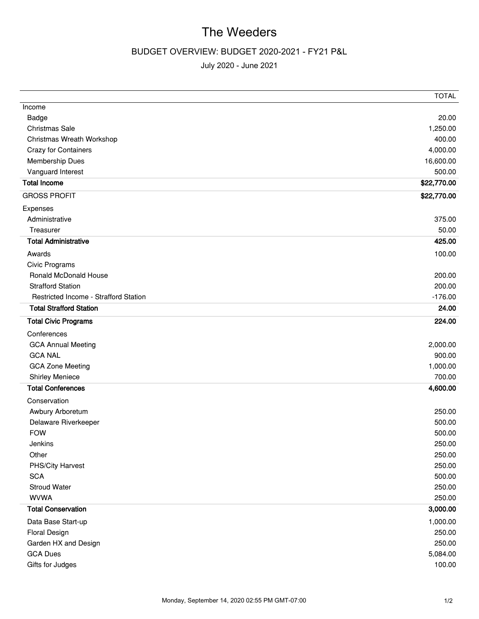# BUDGET OVERVIEW: BUDGET 2020-2021 - FY21 P&L

|                                       | <b>TOTAL</b> |
|---------------------------------------|--------------|
| Income                                |              |
| Badge                                 | 20.00        |
| Christmas Sale                        | 1,250.00     |
| Christmas Wreath Workshop             | 400.00       |
| Crazy for Containers                  | 4,000.00     |
| Membership Dues                       | 16,600.00    |
| Vanguard Interest                     | 500.00       |
| <b>Total Income</b>                   | \$22,770.00  |
| <b>GROSS PROFIT</b>                   | \$22,770.00  |
| Expenses                              |              |
| Administrative                        | 375.00       |
| Treasurer                             | 50.00        |
| <b>Total Administrative</b>           | 425.00       |
| Awards                                | 100.00       |
| Civic Programs                        |              |
| Ronald McDonald House                 | 200.00       |
| <b>Strafford Station</b>              | 200.00       |
| Restricted Income - Strafford Station | $-176.00$    |
| <b>Total Strafford Station</b>        | 24.00        |
| <b>Total Civic Programs</b>           | 224.00       |
| Conferences                           |              |
| <b>GCA Annual Meeting</b>             | 2,000.00     |
| <b>GCA NAL</b>                        | 900.00       |
| <b>GCA Zone Meeting</b>               | 1,000.00     |
| <b>Shirley Meniece</b>                | 700.00       |
| <b>Total Conferences</b>              | 4,600.00     |
| Conservation                          |              |
| Awbury Arboretum                      | 250.00       |
| Delaware Riverkeeper                  | 500.00       |
| <b>FOW</b>                            | 500.00       |
| Jenkins                               | 250.00       |
| Other                                 | 250.00       |
| PHS/City Harvest                      | 250.00       |
| <b>SCA</b>                            | 500.00       |
| <b>Stroud Water</b>                   | 250.00       |
| <b>WVWA</b>                           | 250.00       |
| <b>Total Conservation</b>             | 3,000.00     |
| Data Base Start-up                    | 1,000.00     |
| <b>Floral Design</b>                  | 250.00       |
| Garden HX and Design                  | 250.00       |
| <b>GCA Dues</b>                       | 5,084.00     |
| Gifts for Judges                      | 100.00       |
|                                       |              |